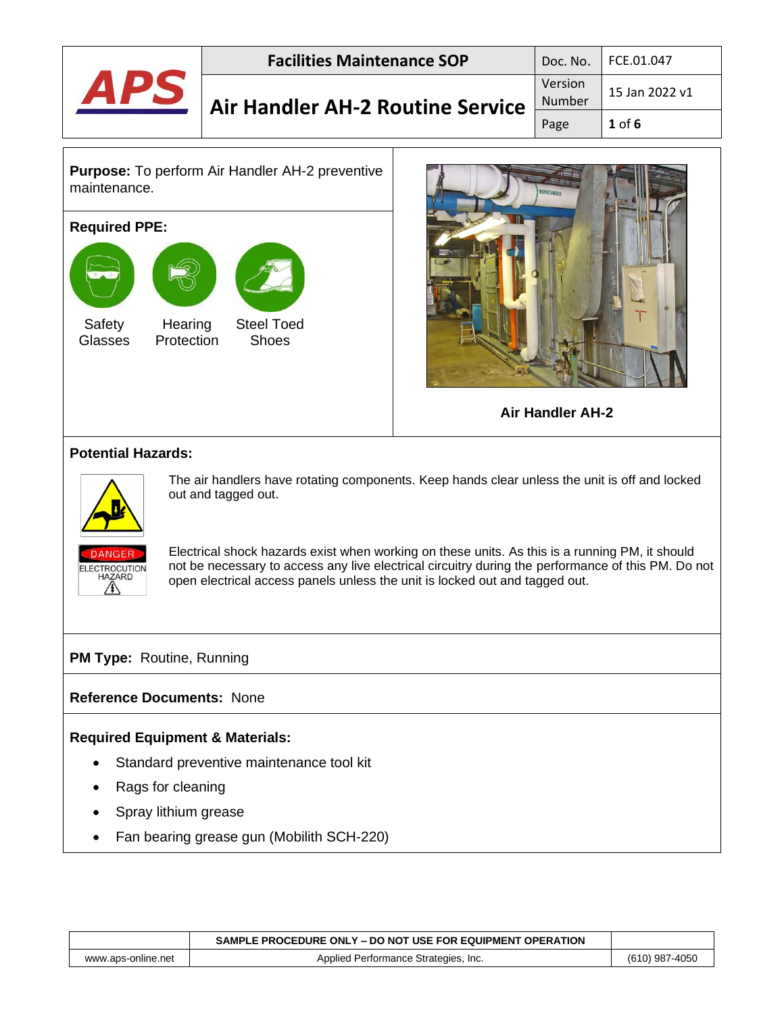| <b>Facilities Maintenance SOP</b>       |                   | Doc. No.   FCE.01.047 |
|-----------------------------------------|-------------------|-----------------------|
| <b>Air Handler AH-2 Routine Service</b> | Version<br>Number | $15$ Jan 2022 v1      |
|                                         | Page              | $1$ of $6$            |

**Purpose:** To perform Air Handler AH-2 preventive maintenance.

#### **Required PPE:**





**Air Handler AH-2**

#### **Potential Hazards:**



The air handlers have rotating components. Keep hands clear unless the unit is off and locked out and tagged out.



Electrical shock hazards exist when working on these units. As this is a running PM, it should not be necessary to access any live electrical circuitry during the performance of this PM. Do not open electrical access panels unless the unit is locked out and tagged out.

#### **PM Type: Routine, Running**

#### **Reference Documents:** None

#### **Required Equipment & Materials:**

- Standard preventive maintenance tool kit
- Rags for cleaning
- Spray lithium grease
- Fan bearing grease gun (Mobilith SCH-220)

|                    | SAMPLE PROCEDURE ONLY - DO NOT USE FOR EQUIPMENT OPERATION |                |
|--------------------|------------------------------------------------------------|----------------|
| www.aps-online.net | Applied Performance Strategies, Inc.                       | (610) 987-4050 |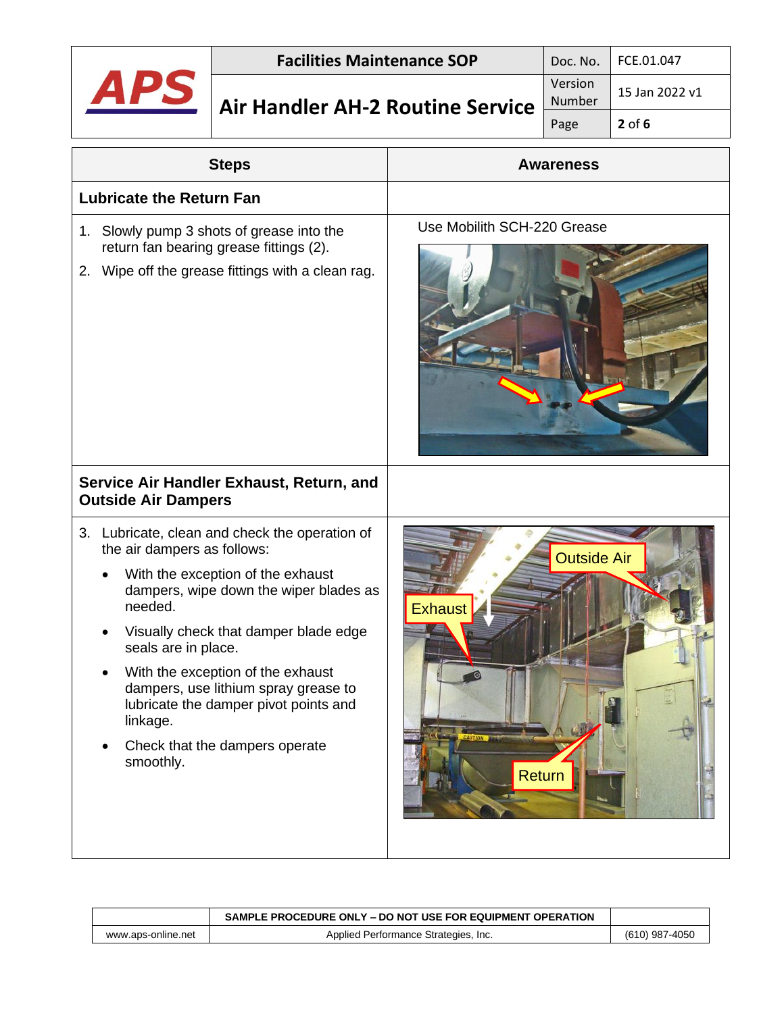### **Air Handler AH-2 Routine Service**

| Doc. No.          | FCE.01.047     |
|-------------------|----------------|
| Version<br>Number | 15 Jan 2022 v1 |
| Page              | $2$ of 6       |

| <b>Steps</b>                                                                                                                                                                                                                                                                                                                                                                                                             | <b>Awareness</b>                               |  |
|--------------------------------------------------------------------------------------------------------------------------------------------------------------------------------------------------------------------------------------------------------------------------------------------------------------------------------------------------------------------------------------------------------------------------|------------------------------------------------|--|
| <b>Lubricate the Return Fan</b>                                                                                                                                                                                                                                                                                                                                                                                          |                                                |  |
| 1. Slowly pump 3 shots of grease into the<br>return fan bearing grease fittings (2).<br>2. Wipe off the grease fittings with a clean rag.                                                                                                                                                                                                                                                                                | Use Mobilith SCH-220 Grease                    |  |
| Service Air Handler Exhaust, Return, and<br><b>Outside Air Dampers</b>                                                                                                                                                                                                                                                                                                                                                   |                                                |  |
| 3. Lubricate, clean and check the operation of<br>the air dampers as follows:<br>With the exception of the exhaust<br>dampers, wipe down the wiper blades as<br>needed.<br>Visually check that damper blade edge<br>seals are in place.<br>With the exception of the exhaust<br>dampers, use lithium spray grease to<br>lubricate the damper pivot points and<br>linkage.<br>Check that the dampers operate<br>smoothly. | <b>Outside Air</b><br><b>Exhaust</b><br>Return |  |

|                    | SAMPLE PROCEDURE ONLY – DO NOT USE FOR EQUIPMENT OPERATION |                |
|--------------------|------------------------------------------------------------|----------------|
| www.aps-online.net | Applied Performance Strategies, Inc.                       | (610) 987-4050 |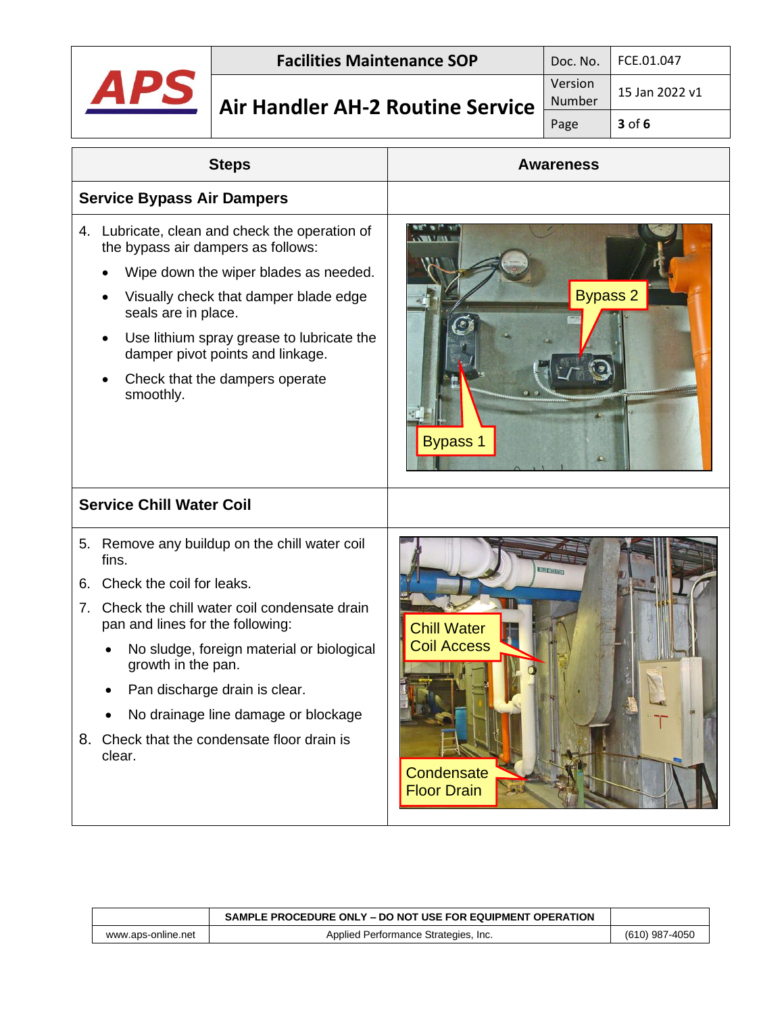

# **Air Handler AH-2 Routine Service**

| Doc. No.          | FCE.01.047     |
|-------------------|----------------|
| Version<br>Number | 15 Jan 2022 v1 |
| Page              | $3$ of 6       |

| <b>Steps</b>                                                                                                                                                                                                                                                                                                                                                                              | <b>Awareness</b>                                                                                |
|-------------------------------------------------------------------------------------------------------------------------------------------------------------------------------------------------------------------------------------------------------------------------------------------------------------------------------------------------------------------------------------------|-------------------------------------------------------------------------------------------------|
| <b>Service Bypass Air Dampers</b>                                                                                                                                                                                                                                                                                                                                                         |                                                                                                 |
| Lubricate, clean and check the operation of<br>4.<br>the bypass air dampers as follows:<br>Wipe down the wiper blades as needed.<br>Visually check that damper blade edge<br>seals are in place.<br>Use lithium spray grease to lubricate the<br>damper pivot points and linkage.<br>Check that the dampers operate<br>smoothly.                                                          | <b>Bypass 2</b><br><b>Bypass 1</b>                                                              |
| <b>Service Chill Water Coil</b>                                                                                                                                                                                                                                                                                                                                                           |                                                                                                 |
| Remove any buildup on the chill water coil<br>5.<br>fins.<br>Check the coil for leaks.<br>6.<br>Check the chill water coil condensate drain<br>7.<br>pan and lines for the following:<br>No sludge, foreign material or biological<br>growth in the pan.<br>Pan discharge drain is clear.<br>No drainage line damage or blockage<br>8. Check that the condensate floor drain is<br>clear. | <b>STRIBUTE</b><br><b>Chill Water</b><br><b>Coil Access</b><br>Condensate<br><b>Floor Drain</b> |

|                    | SAMPLE PROCEDURE ONLY – DO NOT USE FOR EQUIPMENT OPERATION |                |
|--------------------|------------------------------------------------------------|----------------|
| www.aps-online.net | Applied Performance Strategies, Inc.                       | (610) 987-4050 |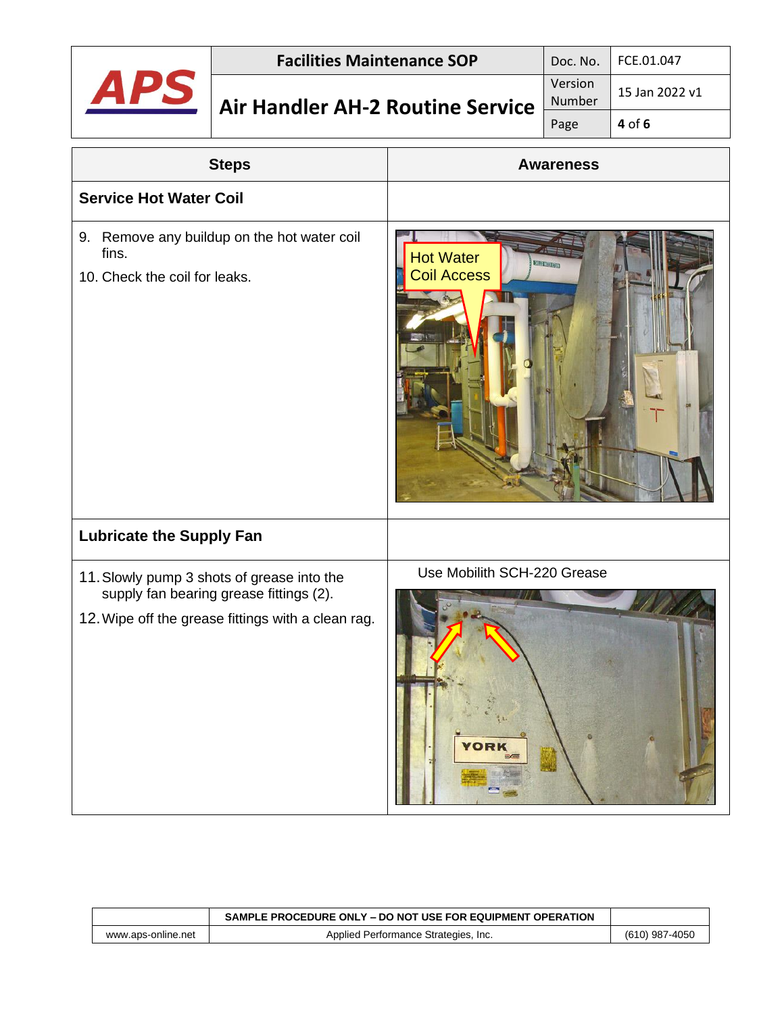|                                                                                       | <b>Facilities Maintenance SOP</b>                                                                                                           |                                                       | Doc. No.          | FCE.01.047     |
|---------------------------------------------------------------------------------------|---------------------------------------------------------------------------------------------------------------------------------------------|-------------------------------------------------------|-------------------|----------------|
|                                                                                       | <b>Air Handler AH-2 Routine Service</b>                                                                                                     |                                                       | Version<br>Number | 15 Jan 2022 v1 |
|                                                                                       |                                                                                                                                             |                                                       | Page              | 4 of 6         |
|                                                                                       | <b>Steps</b>                                                                                                                                |                                                       | <b>Awareness</b>  |                |
| <b>Service Hot Water Coil</b>                                                         |                                                                                                                                             |                                                       |                   |                |
| 9. Remove any buildup on the hot water coil<br>fins.<br>10. Check the coil for leaks. |                                                                                                                                             | <b>Hot Water</b><br><b>Coil Access</b>                | <b>ENTERED</b>    |                |
| <b>Lubricate the Supply Fan</b>                                                       |                                                                                                                                             |                                                       |                   |                |
|                                                                                       | 11. Slowly pump 3 shots of grease into the<br>supply fan bearing grease fittings (2).<br>12. Wipe off the grease fittings with a clean rag. | Use Mobilith SCH-220 Grease<br><b>YORK</b><br>三点<br>÷ |                   |                |

|                    | SAMPLE PROCEDURE ONLY – DO NOT USE FOR EQUIPMENT OPERATION |                |
|--------------------|------------------------------------------------------------|----------------|
| www.aps-online.net | Applied Performance Strategies, Inc.                       | (610) 987-4050 |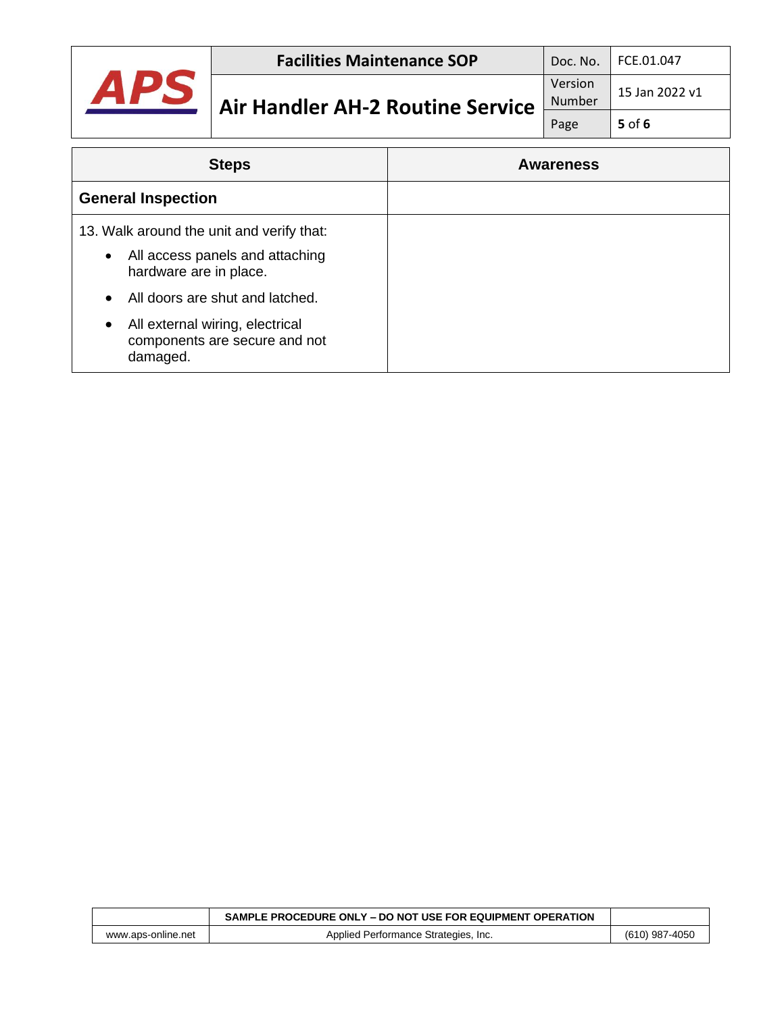

| <b>Steps</b>                                                                      | <b>Awareness</b> |  |
|-----------------------------------------------------------------------------------|------------------|--|
| <b>General Inspection</b>                                                         |                  |  |
| 13. Walk around the unit and verify that:                                         |                  |  |
| All access panels and attaching<br>$\bullet$<br>hardware are in place.            |                  |  |
| All doors are shut and latched.<br>$\bullet$                                      |                  |  |
| All external wiring, electrical<br>٠<br>components are secure and not<br>damaged. |                  |  |

|                    | SAMPLE PROCEDURE ONLY – DO NOT USE FOR EQUIPMENT OPERATION |                |
|--------------------|------------------------------------------------------------|----------------|
| www.aps-online.net | Applied Performance Strategies, Inc.                       | (610) 987-4050 |